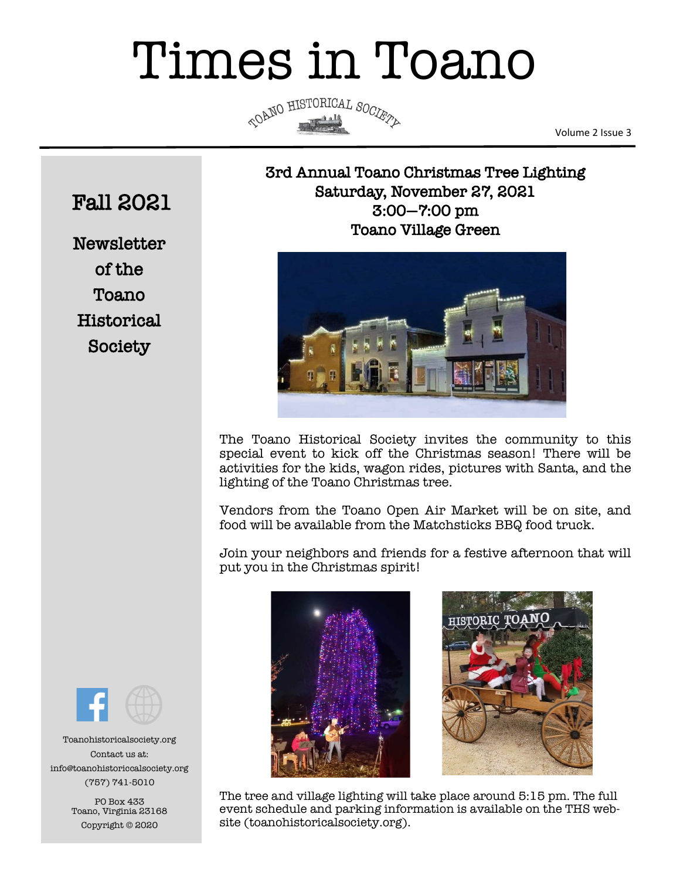# Times in Toano



Volume 2 Issue 3

## 3rd Annual Toano Christmas Tree Lighting Saturday, November 27, 2021 3:00—7:00 pm Toano Village Green



The Toano Historical Society invites the community to this special event to kick off the Christmas season! There will be activities for the kids, wagon rides, pictures with Santa, and the lighting of the Toano Christmas tree.

Vendors from the Toano Open Air Market will be on site, and food will be available from the Matchsticks BBQ food truck.

Join your neighbors and friends for a festive afternoon that will put you in the Christmas spirit!





The tree and village lighting will take place around 5:15 pm. The full event schedule and parking information is available on the THS website (toanohistoricalsociety.org).

## Fall 2021

**Newsletter** of the Toano **Historical** Society



Toanohistoricalsociety.org Contact us at: info@toanohistoriccalsociety.org (757) 741-5010

> PO Box 433 Toano, Virginia 23168 Copyright © 2020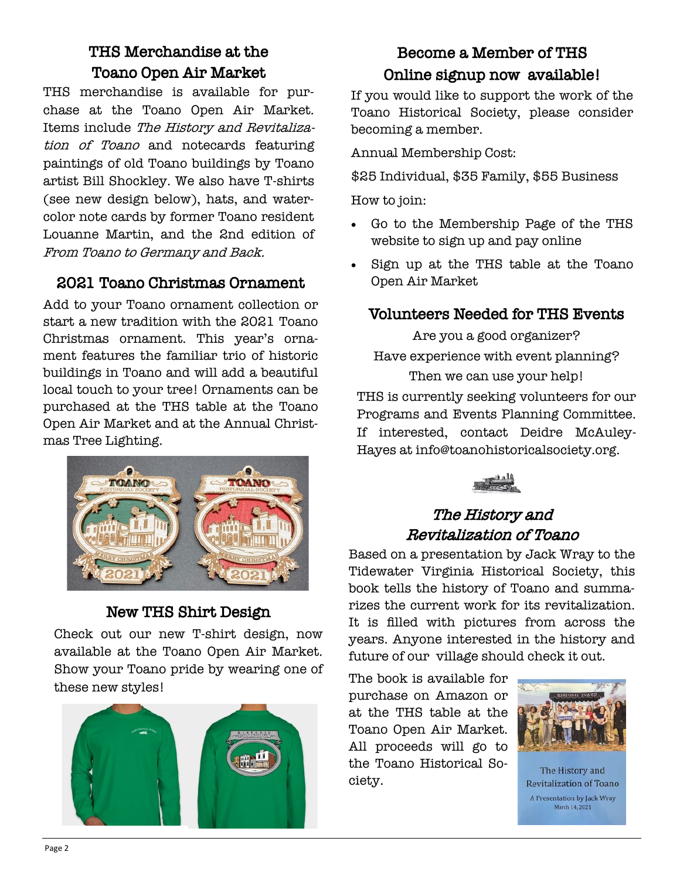## THS Merchandise at the Toano Open Air Market

THS merchandise is available for purchase at the Toano Open Air Market. Items include The History and Revitalization of Toano and notecards featuring paintings of old Toano buildings by Toano artist Bill Shockley. We also have T-shirts (see new design below), hats, and watercolor note cards by former Toano resident Louanne Martin, and the 2nd edition of From Toano to Germany and Back.

## 2021 Toano Christmas Ornament

Add to your Toano ornament collection or start a new tradition with the 2021 Toano Christmas ornament. This year's ornament features the familiar trio of historic buildings in Toano and will add a beautiful local touch to your tree! Ornaments can be purchased at the THS table at the Toano Open Air Market and at the Annual Christmas Tree Lighting.



## New THS Shirt Design

Check out our new T-shirt design, now available at the Toano Open Air Market. Show your Toano pride by wearing one of these new styles!



## Become a Member of THS Online signup now available!

If you would like to support the work of the Toano Historical Society, please consider becoming a member.

Annual Membership Cost:

\$25 Individual, \$35 Family, \$55 Business

How to join:

- Go to the Membership Page of the THS website to sign up and pay online
- Sign up at the THS table at the Toano Open Air Market

## Volunteers Needed for THS Events

Are you a good organizer? Have experience with event planning? Then we can use your help! THS is currently seeking volunteers for our Programs and Events Planning Committee. If interested, contact Deidre McAuley-Hayes at info@toanohistoricalsociety.org.



## The History and Revitalization of Toano

Based on a presentation by Jack Wray to the Tidewater Virginia Historical Society, this book tells the history of Toano and summarizes the current work for its revitalization. It is filled with pictures from across the years. Anyone interested in the history and future of our village should check it out.

The book is available for purchase on Amazon or at the THS table at the Toano Open Air Market. All proceeds will go to the Toano Historical Society.



The History and **Revitalization of Toano** A Presentation by Jack Wray March 14, 2021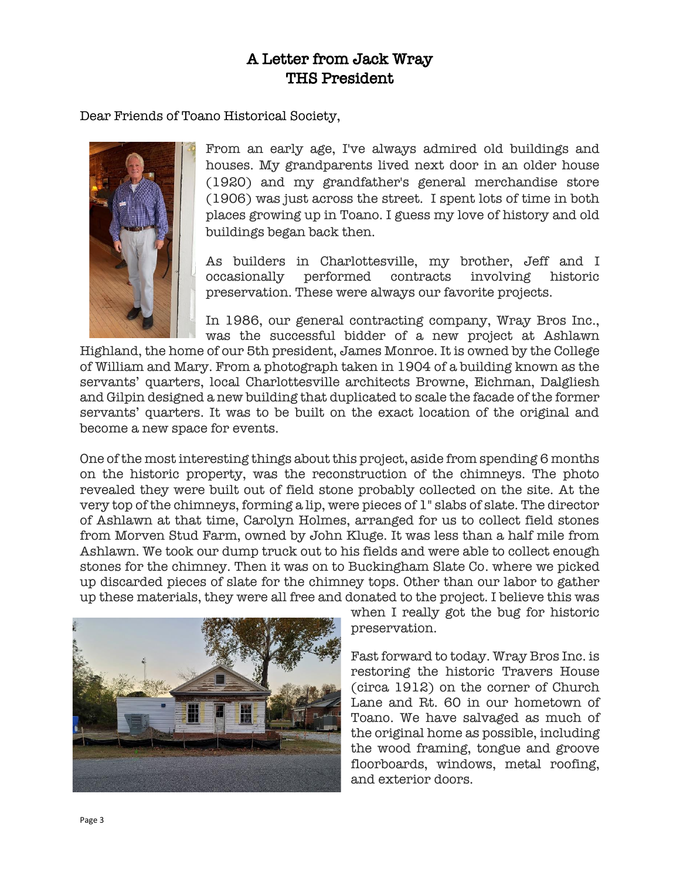### A Letter from Jack Wray THS President

Dear Friends of Toano Historical Society,



From an early age, I've always admired old buildings and houses. My grandparents lived next door in an older house (1920) and my grandfather's general merchandise store (1906) was just across the street. I spent lots of time in both places growing up in Toano. I guess my love of history and old buildings began back then.

As builders in Charlottesville, my brother, Jeff and I occasionally performed contracts involving historic preservation. These were always our favorite projects.

In 1986, our general contracting company, Wray Bros Inc., was the successful bidder of a new project at Ashlawn

Highland, the home of our 5th president, James Monroe. It is owned by the College of William and Mary. From a photograph taken in 1904 of a building known as the servants' quarters, local Charlottesville architects Browne, Eichman, Dalgliesh and Gilpin designed a new building that duplicated to scale the facade of the former servants' quarters. It was to be built on the exact location of the original and become a new space for events.

One of the most interesting things about this project, aside from spending 6 months on the historic property, was the reconstruction of the chimneys. The photo revealed they were built out of field stone probably collected on the site. At the very top of the chimneys, forming a lip, were pieces of 1" slabs of slate. The director of Ashlawn at that time, Carolyn Holmes, arranged for us to collect field stones from Morven Stud Farm, owned by John Kluge. It was less than a half mile from Ashlawn. We took our dump truck out to his fields and were able to collect enough stones for the chimney. Then it was on to Buckingham Slate Co. where we picked up discarded pieces of slate for the chimney tops. Other than our labor to gather up these materials, they were all free and donated to the project. I believe this was



when I really got the bug for historic preservation.

Fast forward to today. Wray Bros Inc. is restoring the historic Travers House (circa 1912) on the corner of Church Lane and Rt. 60 in our hometown of Toano. We have salvaged as much of the original home as possible, including the wood framing, tongue and groove floorboards, windows, metal roofing, and exterior doors.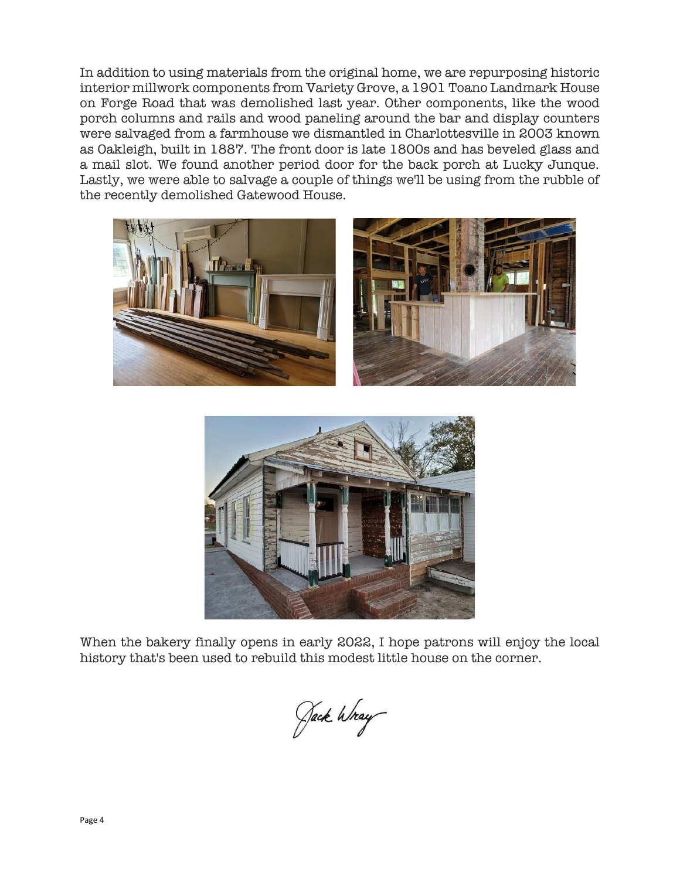In addition to using materials from the original home, we are repurposing historic interior millwork components from Variety Grove, a 1901 Toano Landmark House on Forge Road that was demolished last year. Other components, like the wood porch columns and rails and wood paneling around the bar and display counters were salvaged from a farmhouse we dismantled in Charlottesville in 2003 known as Oakleigh, built in 1887. The front door is late 1800s and has beveled glass and a mail slot. We found another period door for the back porch at Lucky Junque. Lastly, we were able to salvage a couple of things we'll be using from the rubble of the recently demolished Gatewood House.





When the bakery finally opens in early 2022, I hope patrons will enjoy the local history that's been used to rebuild this modest little house on the corner.

Jack Wray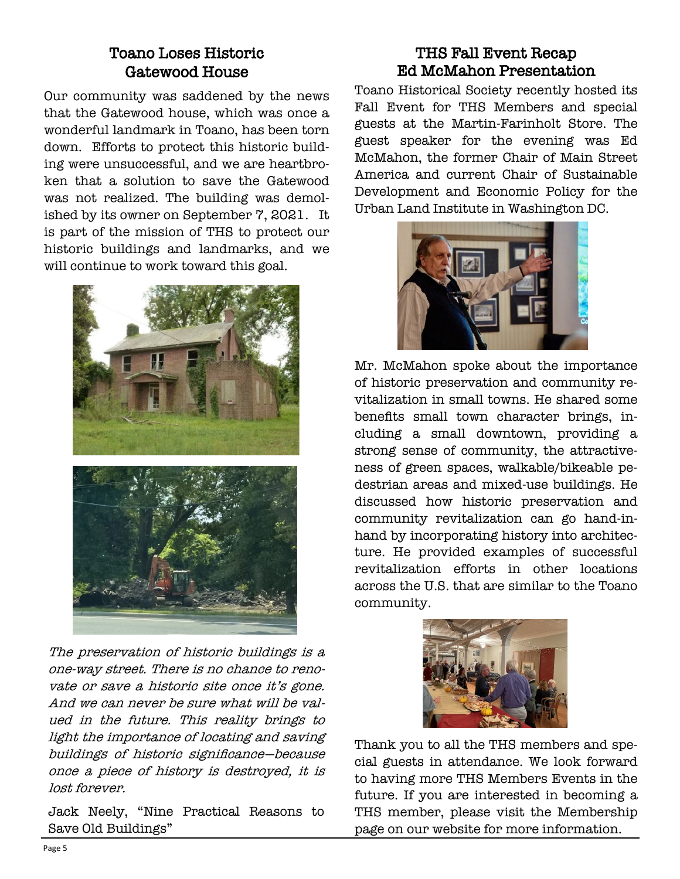## Toano Loses Historic Gatewood House

Our community was saddened by the news that the Gatewood house, which was once a wonderful landmark in Toano, has been torn down. Efforts to protect this historic building were unsuccessful, and we are heartbroken that a solution to save the Gatewood was not realized. The building was demolished by its owner on September 7, 2021. It is part of the mission of THS to protect our historic buildings and landmarks, and we will continue to work toward this goal.



The preservation of historic buildings is a one-way street. There is no chance to renovate or save a historic site once it's gone. And we can never be sure what will be valued in the future. This reality brings to light the importance of locating and saving buildings of historic significance—because once a piece of history is destroyed, it is lost forever.

Jack Neely, "Nine Practical Reasons to Save Old Buildings"

#### THS Fall Event Recap Ed McMahon Presentation

Toano Historical Society recently hosted its Fall Event for THS Members and special guests at the Martin-Farinholt Store. The guest speaker for the evening was Ed McMahon, the former Chair of Main Street America and current Chair of Sustainable Development and Economic Policy for the Urban Land Institute in Washington DC.



Mr. McMahon spoke about the importance of historic preservation and community revitalization in small towns. He shared some benefits small town character brings, including a small downtown, providing a strong sense of community, the attractiveness of green spaces, walkable/bikeable pedestrian areas and mixed-use buildings. He discussed how historic preservation and community revitalization can go hand-inhand by incorporating history into architecture. He provided examples of successful revitalization efforts in other locations across the U.S. that are similar to the Toano community.



Thank you to all the THS members and special guests in attendance. We look forward to having more THS Members Events in the future. If you are interested in becoming a THS member, please visit the Membership page on our website for more information.